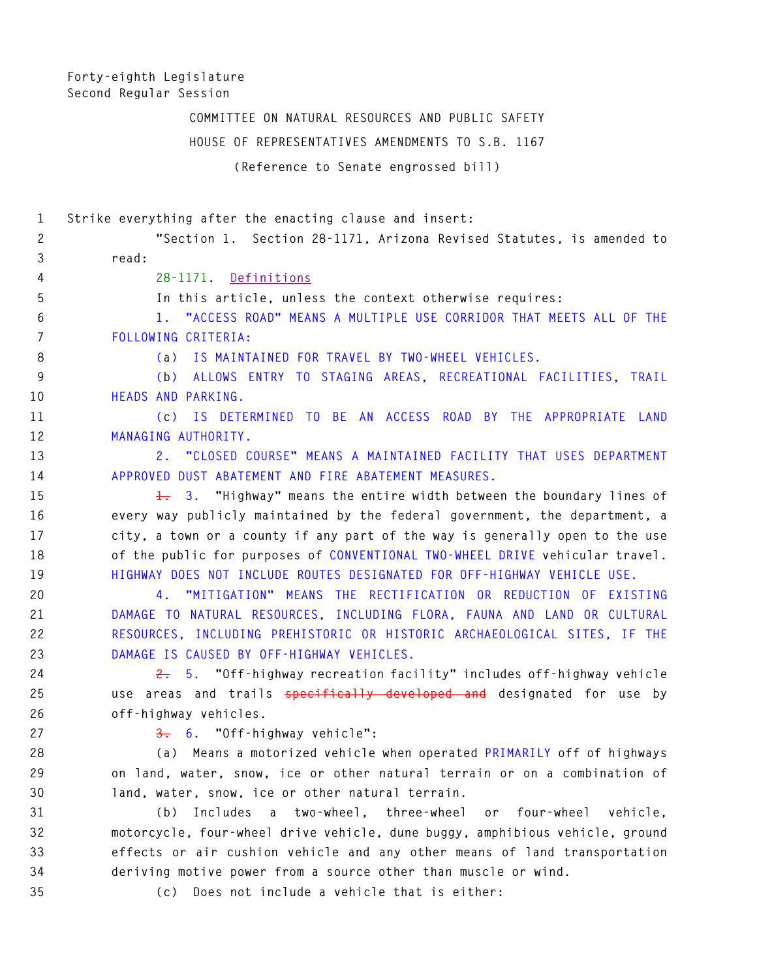**Forty-eighth Legislature Second Regular Session** 

> **COMMITTEE ON NATURAL RESOURCES AND PUBLIC SAFETY HOUSE OF REPRESENTATIVES AMENDMENTS TO S.B. 1167 (Reference to Senate engrossed bill)**

**1 Strike everything after the enacting clause and insert: 2 "Section 1. Section 28-1171, Arizona Revised Statutes, is amended to 3 read: 4 28-1171. Definitions 5 In this article, unless the context otherwise requires: 6 1. "ACCESS ROAD" MEANS A MULTIPLE USE CORRIDOR THAT MEETS ALL OF THE 7 FOLLOWING CRITERIA: 8 (a) IS MAINTAINED FOR TRAVEL BY TWO-WHEEL VEHICLES. 9 (b) ALLOWS ENTRY TO STAGING AREAS, RECREATIONAL FACILITIES, TRAIL 10 HEADS AND PARKING. 11 (c) IS DETERMINED TO BE AN ACCESS ROAD BY THE APPROPRIATE LAND 12 MANAGING AUTHORITY. 13 2. "CLOSED COURSE" MEANS A MAINTAINED FACILITY THAT USES DEPARTMENT 14 APPROVED DUST ABATEMENT AND FIRE ABATEMENT MEASURES. 15 1. 3. "Highway" means the entire width between the boundary lines of 16 every way publicly maintained by the federal government, the department, a 17 city, a town or a county if any part of the way is generally open to the use 18 of the public for purposes of CONVENTIONAL TWO-WHEEL DRIVE vehicular travel. 19 HIGHWAY DOES NOT INCLUDE ROUTES DESIGNATED FOR OFF-HIGHWAY VEHICLE USE. 20 4. "MITIGATION" MEANS THE RECTIFICATION OR REDUCTION OF EXISTING 21 DAMAGE TO NATURAL RESOURCES, INCLUDING FLORA, FAUNA AND LAND OR CULTURAL 22 RESOURCES, INCLUDING PREHISTORIC OR HISTORIC ARCHAEOLOGICAL SITES, IF THE 23 DAMAGE IS CAUSED BY OFF-HIGHWAY VEHICLES. 24 2. 5. "Off-highway recreation facility" includes off-highway vehicle 25 use areas and trails specifically developed and designated for use by 26 off-highway vehicles. 27 3. 6. "Off-highway vehicle": 28 (a) Means a motorized vehicle when operated PRIMARILY off of highways 29 on land, water, snow, ice or other natural terrain or on a combination of 30 land, water, snow, ice or other natural terrain. 31 (b) Includes a two-wheel, three-wheel or four-wheel vehicle, 32 motorcycle, four-wheel drive vehicle, dune buggy, amphibious vehicle, ground 33 effects or air cushion vehicle and any other means of land transportation 34 deriving motive power from a source other than muscle or wind.** 

**35 (c) Does not include a vehicle that is either:**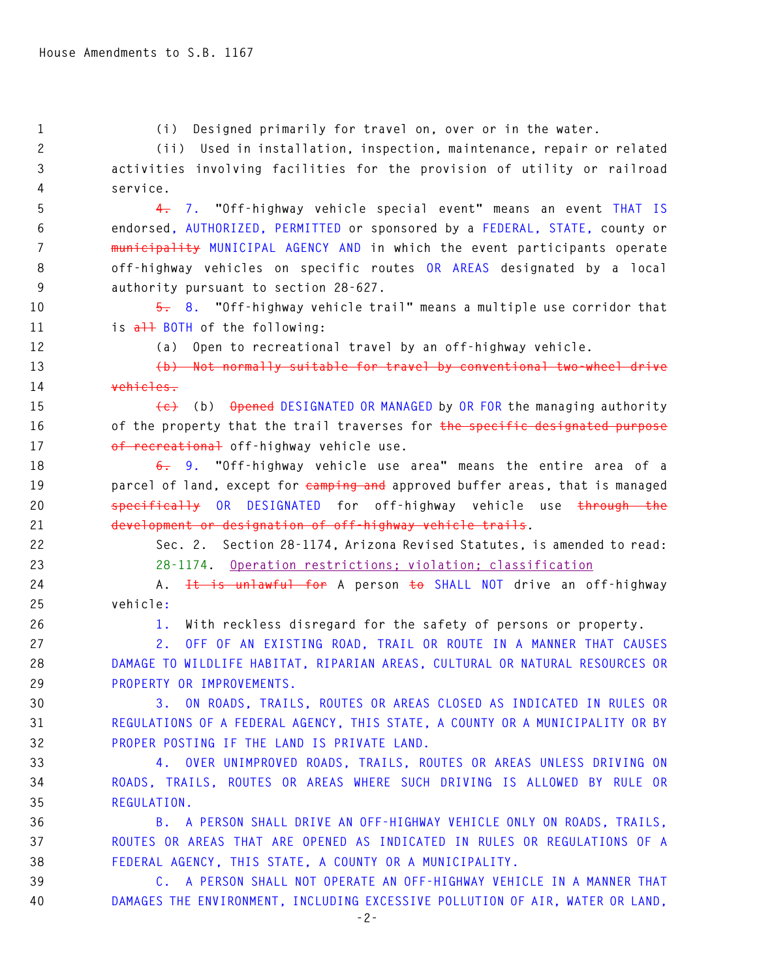**1 (i) Designed primarily for travel on, over or in the water. 2 (ii) Used in installation, inspection, maintenance, repair or related 3 activities involving facilities for the provision of utility or railroad 4 service. 5 4. 7. "Off-highway vehicle special event" means an event THAT IS 6 endorsed, AUTHORIZED, PERMITTED or sponsored by a FEDERAL, STATE, county or 7 municipality MUNICIPAL AGENCY AND in which the event participants operate 8 off-highway vehicles on specific routes OR AREAS designated by a local 9 authority pursuant to section 28-627. 10 5. 8. "Off-highway vehicle trail" means a multiple use corridor that 11 is all BOTH of the following: 12 (a) Open to recreational travel by an off-highway vehicle. 13 (b) Not normally suitable for travel by conventional two-wheel drive 14 vehicles. 15 (c) (b) Opened DESIGNATED OR MANAGED by OR FOR the managing authority 16 of the property that the trail traverses for the specific designated purpose 17 of recreational off-highway vehicle use. 18 6. 9. "Off-highway vehicle use area" means the entire area of a 19 parcel of land, except for camping and approved buffer areas, that is managed 20 specifically OR DESIGNATED for off-highway vehicle use through the 21 development or designation of off-highway vehicle trails. 22 Sec. 2. Section 28-1174, Arizona Revised Statutes, is amended to read: 23 28-1174. Operation restrictions; violation; classification 24 A. It is unlawful for A person to SHALL NOT drive an off-highway 25 vehicle: 26 1. With reckless disregard for the safety of persons or property. 27 2. OFF OF AN EXISTING ROAD, TRAIL OR ROUTE IN A MANNER THAT CAUSES 28 DAMAGE TO WILDLIFE HABITAT, RIPARIAN AREAS, CULTURAL OR NATURAL RESOURCES OR 29 PROPERTY OR IMPROVEMENTS. 30 3. ON ROADS, TRAILS, ROUTES OR AREAS CLOSED AS INDICATED IN RULES OR** 

**31 REGULATIONS OF A FEDERAL AGENCY, THIS STATE, A COUNTY OR A MUNICIPALITY OR BY 32 PROPER POSTING IF THE LAND IS PRIVATE LAND.** 

**33 4. OVER UNIMPROVED ROADS, TRAILS, ROUTES OR AREAS UNLESS DRIVING ON 34 ROADS, TRAILS, ROUTES OR AREAS WHERE SUCH DRIVING IS ALLOWED BY RULE OR 35 REGULATION.** 

**36 B. A PERSON SHALL DRIVE AN OFF-HIGHWAY VEHICLE ONLY ON ROADS, TRAILS, 37 ROUTES OR AREAS THAT ARE OPENED AS INDICATED IN RULES OR REGULATIONS OF A 38 FEDERAL AGENCY, THIS STATE, A COUNTY OR A MUNICIPALITY.** 

**39 C. A PERSON SHALL NOT OPERATE AN OFF-HIGHWAY VEHICLE IN A MANNER THAT 40 DAMAGES THE ENVIRONMENT, INCLUDING EXCESSIVE POLLUTION OF AIR, WATER OR LAND,**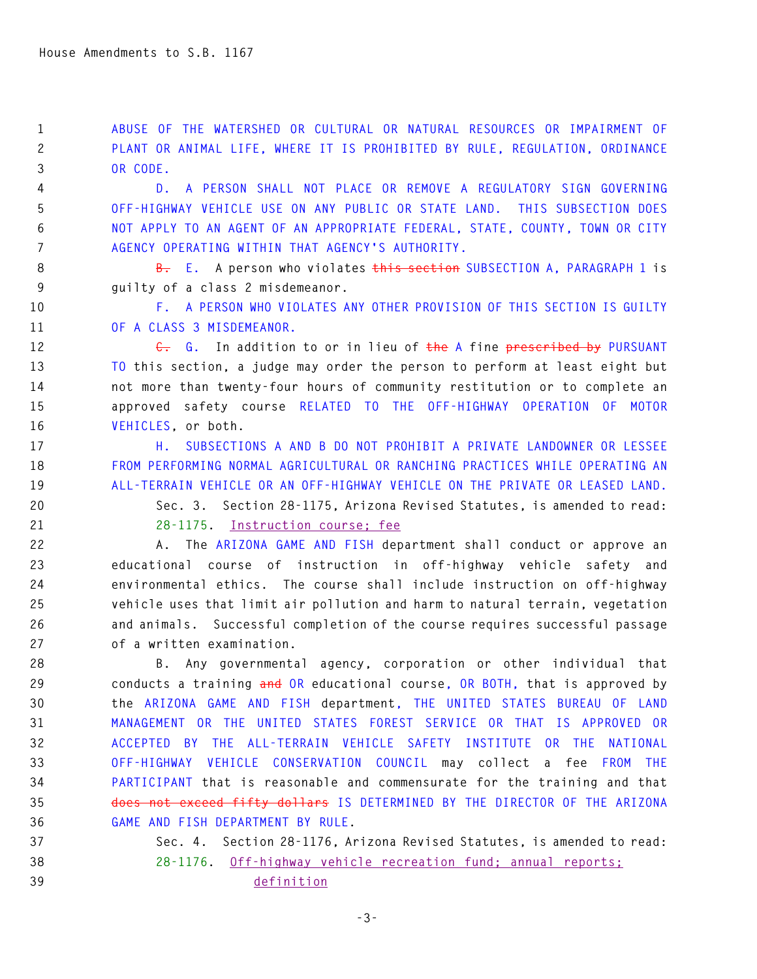**1 ABUSE OF THE WATERSHED OR CULTURAL OR NATURAL RESOURCES OR IMPAIRMENT OF 2 PLANT OR ANIMAL LIFE, WHERE IT IS PROHIBITED BY RULE, REGULATION, ORDINANCE 3 OR CODE.** 

**4 D. A PERSON SHALL NOT PLACE OR REMOVE A REGULATORY SIGN GOVERNING 5 OFF-HIGHWAY VEHICLE USE ON ANY PUBLIC OR STATE LAND. THIS SUBSECTION DOES 6 NOT APPLY TO AN AGENT OF AN APPROPRIATE FEDERAL, STATE, COUNTY, TOWN OR CITY 7 AGENCY OPERATING WITHIN THAT AGENCY'S AUTHORITY.** 

**8 B. E. A person who violates this section SUBSECTION A, PARAGRAPH 1 is 9 guilty of a class 2 misdemeanor.** 

**10 F. A PERSON WHO VIOLATES ANY OTHER PROVISION OF THIS SECTION IS GUILTY 11 OF A CLASS 3 MISDEMEANOR.** 

12 **C.** G. In addition to or in lieu of the A fine prescribed by PURSUANT **13 TO this section, a judge may order the person to perform at least eight but 14 not more than twenty-four hours of community restitution or to complete an 15 approved safety course RELATED TO THE OFF-HIGHWAY OPERATION OF MOTOR 16 VEHICLES, or both.** 

**17 H. SUBSECTIONS A AND B DO NOT PROHIBIT A PRIVATE LANDOWNER OR LESSEE 18 FROM PERFORMING NORMAL AGRICULTURAL OR RANCHING PRACTICES WHILE OPERATING AN 19 ALL-TERRAIN VEHICLE OR AN OFF-HIGHWAY VEHICLE ON THE PRIVATE OR LEASED LAND.** 

**20 Sec. 3. Section 28-1175, Arizona Revised Statutes, is amended to read:** 

**21 28-1175. Instruction course; fee**

**22 A. The ARIZONA GAME AND FISH department shall conduct or approve an 23 educational course of instruction in off-highway vehicle safety and 24 environmental ethics. The course shall include instruction on off-highway 25 vehicle uses that limit air pollution and harm to natural terrain, vegetation 26 and animals. Successful completion of the course requires successful passage 27 of a written examination.** 

**28 B. Any governmental agency, corporation or other individual that 29 conducts a training and OR educational course, OR BOTH, that is approved by 30 the ARIZONA GAME AND FISH department, THE UNITED STATES BUREAU OF LAND 31 MANAGEMENT OR THE UNITED STATES FOREST SERVICE OR THAT IS APPROVED OR 32 ACCEPTED BY THE ALL-TERRAIN VEHICLE SAFETY INSTITUTE OR THE NATIONAL 33 OFF-HIGHWAY VEHICLE CONSERVATION COUNCIL may collect a fee FROM THE 34 PARTICIPANT that is reasonable and commensurate for the training and that 35 does not exceed fifty dollars IS DETERMINED BY THE DIRECTOR OF THE ARIZONA 36 GAME AND FISH DEPARTMENT BY RULE.** 

**37 Sec. 4. Section 28-1176, Arizona Revised Statutes, is amended to read: 38 28-1176. Off-highway vehicle recreation fund; annual reports; 39 definition**

**-3-**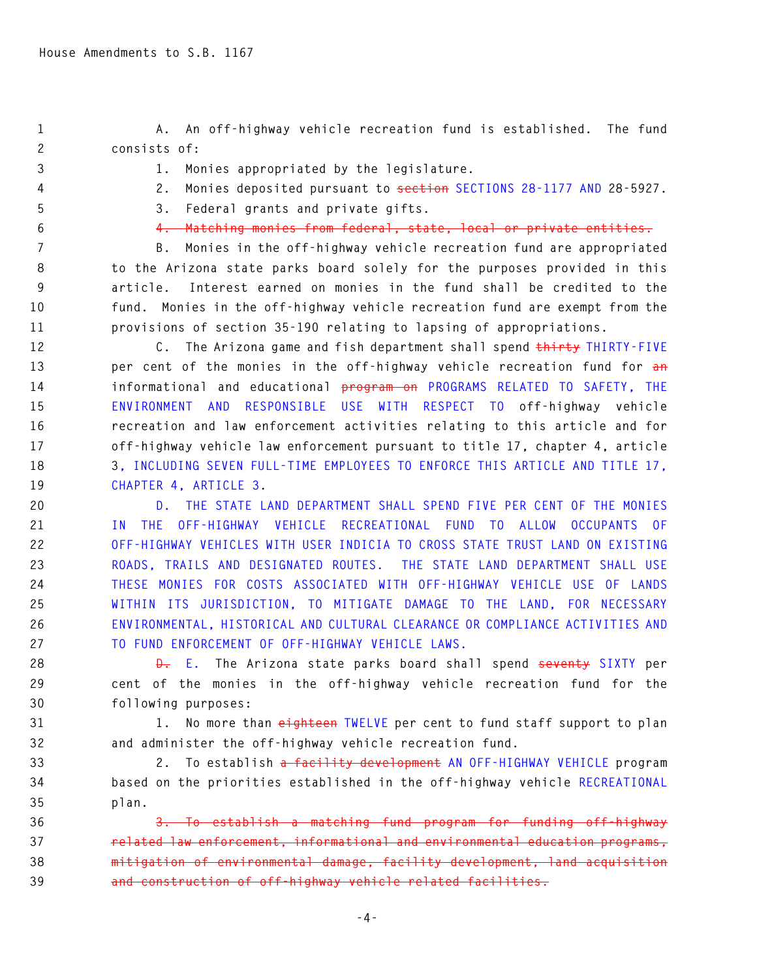**1 A. An off-highway vehicle recreation fund is established. The fund 2 consists of:** 

**3 1. Monies appropriated by the legislature.** 

**4 2. Monies deposited pursuant to section SECTIONS 28-1177 AND 28-5927.** 

**5 3. Federal grants and private gifts.** 

**6 4. Matching monies from federal, state, local or private entities.** 

**7 B. Monies in the off-highway vehicle recreation fund are appropriated 8 to the Arizona state parks board solely for the purposes provided in this 9 article. Interest earned on monies in the fund shall be credited to the 10 fund. Monies in the off-highway vehicle recreation fund are exempt from the 11 provisions of section 35-190 relating to lapsing of appropriations.** 

**12 C. The Arizona game and fish department shall spend thirty THIRTY-FIVE 13 per cent of the monies in the off-highway vehicle recreation fund for an 14 informational and educational program on PROGRAMS RELATED TO SAFETY, THE 15 ENVIRONMENT AND RESPONSIBLE USE WITH RESPECT TO off-highway vehicle 16 recreation and law enforcement activities relating to this article and for 17 off-highway vehicle law enforcement pursuant to title 17, chapter 4, article 18 3, INCLUDING SEVEN FULL-TIME EMPLOYEES TO ENFORCE THIS ARTICLE AND TITLE 17, 19 CHAPTER 4, ARTICLE 3.** 

**20 D. THE STATE LAND DEPARTMENT SHALL SPEND FIVE PER CENT OF THE MONIES 21 IN THE OFF-HIGHWAY VEHICLE RECREATIONAL FUND TO ALLOW OCCUPANTS OF 22 OFF-HIGHWAY VEHICLES WITH USER INDICIA TO CROSS STATE TRUST LAND ON EXISTING 23 ROADS, TRAILS AND DESIGNATED ROUTES. THE STATE LAND DEPARTMENT SHALL USE 24 THESE MONIES FOR COSTS ASSOCIATED WITH OFF-HIGHWAY VEHICLE USE OF LANDS 25 WITHIN ITS JURISDICTION, TO MITIGATE DAMAGE TO THE LAND, FOR NECESSARY 26 ENVIRONMENTAL, HISTORICAL AND CULTURAL CLEARANCE OR COMPLIANCE ACTIVITIES AND 27 TO FUND ENFORCEMENT OF OFF-HIGHWAY VEHICLE LAWS.** 

**28 D. E. The Arizona state parks board shall spend seventy SIXTY per 29 cent of the monies in the off-highway vehicle recreation fund for the 30 following purposes:** 

**31 1. No more than eighteen TWELVE per cent to fund staff support to plan 32 and administer the off-highway vehicle recreation fund.** 

**33 2. To establish a facility development AN OFF-HIGHWAY VEHICLE program 34 based on the priorities established in the off-highway vehicle RECREATIONAL 35 plan.** 

**36 3. To establish a matching fund program for funding off-highway 37 related law enforcement, informational and environmental education programs, 38 mitigation of environmental damage, facility development, land acquisition 39 and construction of off-highway vehicle related facilities.**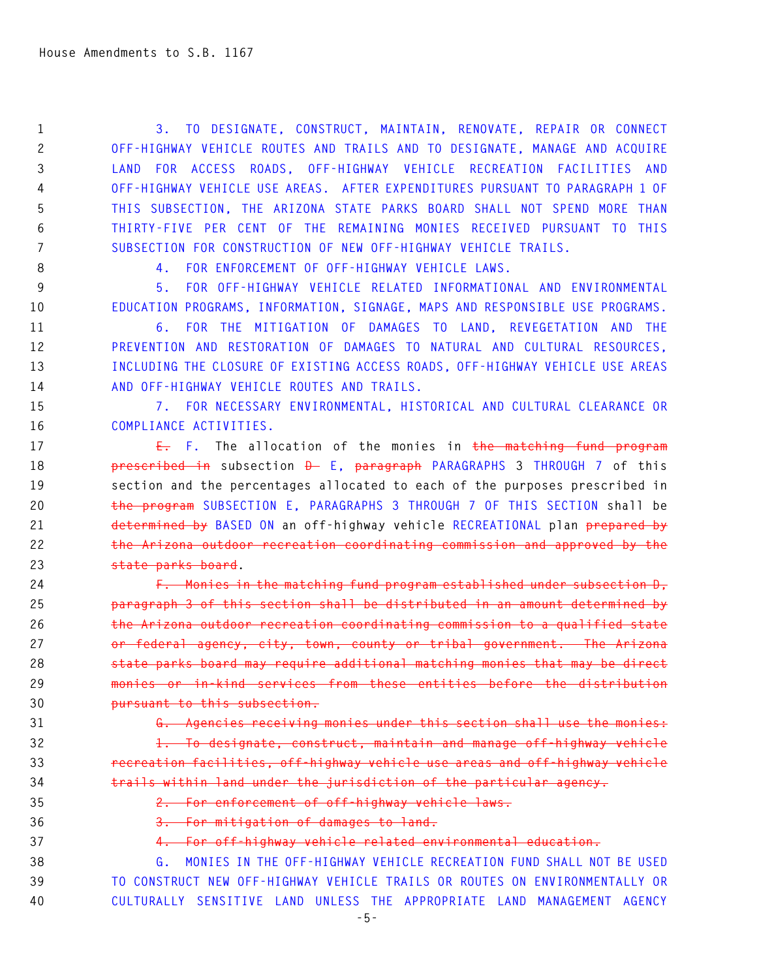**1 3. TO DESIGNATE, CONSTRUCT, MAINTAIN, RENOVATE, REPAIR OR CONNECT 2 OFF-HIGHWAY VEHICLE ROUTES AND TRAILS AND TO DESIGNATE, MANAGE AND ACQUIRE 3 LAND FOR ACCESS ROADS, OFF-HIGHWAY VEHICLE RECREATION FACILITIES AND 4 OFF-HIGHWAY VEHICLE USE AREAS. AFTER EXPENDITURES PURSUANT TO PARAGRAPH 1 OF 5 THIS SUBSECTION, THE ARIZONA STATE PARKS BOARD SHALL NOT SPEND MORE THAN 6 THIRTY-FIVE PER CENT OF THE REMAINING MONIES RECEIVED PURSUANT TO THIS 7 SUBSECTION FOR CONSTRUCTION OF NEW OFF-HIGHWAY VEHICLE TRAILS.** 

**8 4. FOR ENFORCEMENT OF OFF-HIGHWAY VEHICLE LAWS.** 

**9 5. FOR OFF-HIGHWAY VEHICLE RELATED INFORMATIONAL AND ENVIRONMENTAL 10 EDUCATION PROGRAMS, INFORMATION, SIGNAGE, MAPS AND RESPONSIBLE USE PROGRAMS.** 

**11 6. FOR THE MITIGATION OF DAMAGES TO LAND, REVEGETATION AND THE 12 PREVENTION AND RESTORATION OF DAMAGES TO NATURAL AND CULTURAL RESOURCES, 13 INCLUDING THE CLOSURE OF EXISTING ACCESS ROADS, OFF-HIGHWAY VEHICLE USE AREAS 14 AND OFF-HIGHWAY VEHICLE ROUTES AND TRAILS.** 

**15 7. FOR NECESSARY ENVIRONMENTAL, HISTORICAL AND CULTURAL CLEARANCE OR 16 COMPLIANCE ACTIVITIES.** 

**17 E. F. The allocation of the monies in the matching fund program 18 prescribed in subsection D E, paragraph PARAGRAPHS 3 THROUGH 7 of this 19 section and the percentages allocated to each of the purposes prescribed in 20 the program SUBSECTION E, PARAGRAPHS 3 THROUGH 7 OF THIS SECTION shall be 21 determined by BASED ON an off-highway vehicle RECREATIONAL plan prepared by 22 the Arizona outdoor recreation coordinating commission and approved by the 23 state parks board.** 

**24 F. Monies in the matching fund program established under subsection D, 25 paragraph 3 of this section shall be distributed in an amount determined by 26 the Arizona outdoor recreation coordinating commission to a qualified state 27 or federal agency, city, town, county or tribal government. The Arizona 28 state parks board may require additional matching monies that may be direct 29 monies or in-kind services from these entities before the distribution 30 pursuant to this subsection.** 

**31 G. Agencies receiving monies under this section shall use the monies:** 

**32 1. To designate, construct, maintain and manage off-highway vehicle 33 recreation facilities, off-highway vehicle use areas and off-highway vehicle 34 trails within land under the jurisdiction of the particular agency.** 

**35 2. For enforcement of off-highway vehicle laws.** 

**36 3. For mitigation of damages to land.** 

## **37 4. For off-highway vehicle related environmental education.**

**38 G. MONIES IN THE OFF-HIGHWAY VEHICLE RECREATION FUND SHALL NOT BE USED 39 TO CONSTRUCT NEW OFF-HIGHWAY VEHICLE TRAILS OR ROUTES ON ENVIRONMENTALLY OR 40 CULTURALLY SENSITIVE LAND UNLESS THE APPROPRIATE LAND MANAGEMENT AGENCY**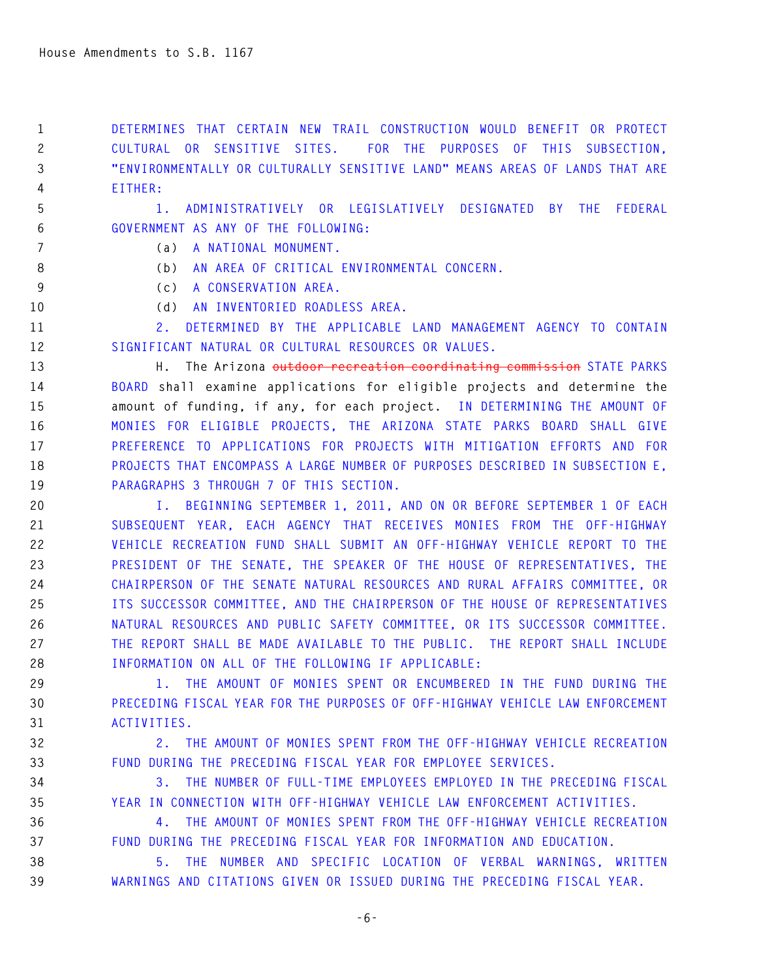**1 DETERMINES THAT CERTAIN NEW TRAIL CONSTRUCTION WOULD BENEFIT OR PROTECT 2 CULTURAL OR SENSITIVE SITES. FOR THE PURPOSES OF THIS SUBSECTION, 3 "ENVIRONMENTALLY OR CULTURALLY SENSITIVE LAND" MEANS AREAS OF LANDS THAT ARE 4 EITHER:** 

**5 1. ADMINISTRATIVELY OR LEGISLATIVELY DESIGNATED BY THE FEDERAL 6 GOVERNMENT AS ANY OF THE FOLLOWING:** 

- **7 (a) A NATIONAL MONUMENT.**
- **8 (b) AN AREA OF CRITICAL ENVIRONMENTAL CONCERN.**
- **9 (c) A CONSERVATION AREA.**
- **10 (d) AN INVENTORIED ROADLESS AREA.**

**11 2. DETERMINED BY THE APPLICABLE LAND MANAGEMENT AGENCY TO CONTAIN 12 SIGNIFICANT NATURAL OR CULTURAL RESOURCES OR VALUES.** 

**13 H. The Arizona outdoor recreation coordinating commission STATE PARKS 14 BOARD shall examine applications for eligible projects and determine the 15 amount of funding, if any, for each project. IN DETERMINING THE AMOUNT OF 16 MONIES FOR ELIGIBLE PROJECTS, THE ARIZONA STATE PARKS BOARD SHALL GIVE 17 PREFERENCE TO APPLICATIONS FOR PROJECTS WITH MITIGATION EFFORTS AND FOR 18 PROJECTS THAT ENCOMPASS A LARGE NUMBER OF PURPOSES DESCRIBED IN SUBSECTION E, 19 PARAGRAPHS 3 THROUGH 7 OF THIS SECTION.** 

**20 I. BEGINNING SEPTEMBER 1, 2011, AND ON OR BEFORE SEPTEMBER 1 OF EACH 21 SUBSEQUENT YEAR, EACH AGENCY THAT RECEIVES MONIES FROM THE OFF-HIGHWAY 22 VEHICLE RECREATION FUND SHALL SUBMIT AN OFF-HIGHWAY VEHICLE REPORT TO THE 23 PRESIDENT OF THE SENATE, THE SPEAKER OF THE HOUSE OF REPRESENTATIVES, THE 24 CHAIRPERSON OF THE SENATE NATURAL RESOURCES AND RURAL AFFAIRS COMMITTEE, OR 25 ITS SUCCESSOR COMMITTEE, AND THE CHAIRPERSON OF THE HOUSE OF REPRESENTATIVES 26 NATURAL RESOURCES AND PUBLIC SAFETY COMMITTEE, OR ITS SUCCESSOR COMMITTEE. 27 THE REPORT SHALL BE MADE AVAILABLE TO THE PUBLIC. THE REPORT SHALL INCLUDE 28 INFORMATION ON ALL OF THE FOLLOWING IF APPLICABLE:** 

**29 1. THE AMOUNT OF MONIES SPENT OR ENCUMBERED IN THE FUND DURING THE 30 PRECEDING FISCAL YEAR FOR THE PURPOSES OF OFF-HIGHWAY VEHICLE LAW ENFORCEMENT 31 ACTIVITIES.** 

**32 2. THE AMOUNT OF MONIES SPENT FROM THE OFF-HIGHWAY VEHICLE RECREATION 33 FUND DURING THE PRECEDING FISCAL YEAR FOR EMPLOYEE SERVICES.** 

**34 3. THE NUMBER OF FULL-TIME EMPLOYEES EMPLOYED IN THE PRECEDING FISCAL 35 YEAR IN CONNECTION WITH OFF-HIGHWAY VEHICLE LAW ENFORCEMENT ACTIVITIES.** 

**36 4. THE AMOUNT OF MONIES SPENT FROM THE OFF-HIGHWAY VEHICLE RECREATION 37 FUND DURING THE PRECEDING FISCAL YEAR FOR INFORMATION AND EDUCATION.** 

**38 5. THE NUMBER AND SPECIFIC LOCATION OF VERBAL WARNINGS, WRITTEN 39 WARNINGS AND CITATIONS GIVEN OR ISSUED DURING THE PRECEDING FISCAL YEAR.**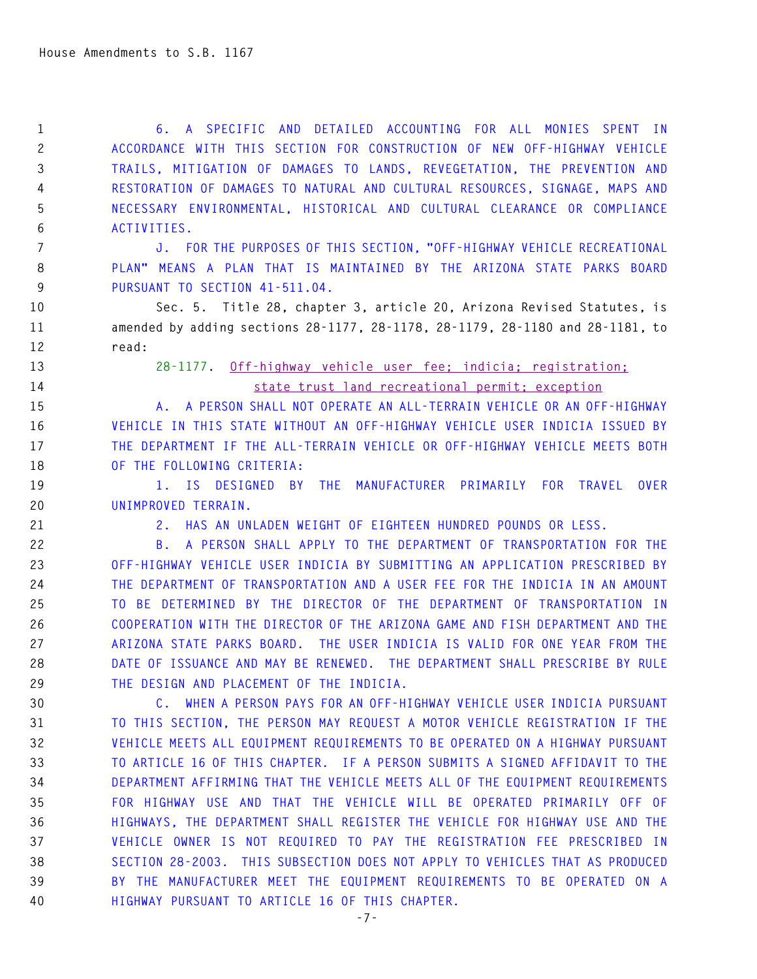**1 6. A SPECIFIC AND DETAILED ACCOUNTING FOR ALL MONIES SPENT IN 2 ACCORDANCE WITH THIS SECTION FOR CONSTRUCTION OF NEW OFF-HIGHWAY VEHICLE 3 TRAILS, MITIGATION OF DAMAGES TO LANDS, REVEGETATION, THE PREVENTION AND 4 RESTORATION OF DAMAGES TO NATURAL AND CULTURAL RESOURCES, SIGNAGE, MAPS AND 5 NECESSARY ENVIRONMENTAL, HISTORICAL AND CULTURAL CLEARANCE OR COMPLIANCE 6 ACTIVITIES.** 

**7 J. FOR THE PURPOSES OF THIS SECTION, "OFF-HIGHWAY VEHICLE RECREATIONAL 8 PLAN" MEANS A PLAN THAT IS MAINTAINED BY THE ARIZONA STATE PARKS BOARD 9 PURSUANT TO SECTION 41-511.04.** 

**10 Sec. 5. Title 28, chapter 3, article 20, Arizona Revised Statutes, is 11 amended by adding sections 28-1177, 28-1178, 28-1179, 28-1180 and 28-1181, to 12 read:** 

**13 28-1177. Off-highway vehicle user fee; indicia; registration; 14 state trust land recreational permit; exception**

**15 A. A PERSON SHALL NOT OPERATE AN ALL-TERRAIN VEHICLE OR AN OFF-HIGHWAY 16 VEHICLE IN THIS STATE WITHOUT AN OFF-HIGHWAY VEHICLE USER INDICIA ISSUED BY 17 THE DEPARTMENT IF THE ALL-TERRAIN VEHICLE OR OFF-HIGHWAY VEHICLE MEETS BOTH 18 OF THE FOLLOWING CRITERIA:** 

**19 1. IS DESIGNED BY THE MANUFACTURER PRIMARILY FOR TRAVEL OVER 20 UNIMPROVED TERRAIN.** 

**21 2. HAS AN UNLADEN WEIGHT OF EIGHTEEN HUNDRED POUNDS OR LESS.** 

**22 B. A PERSON SHALL APPLY TO THE DEPARTMENT OF TRANSPORTATION FOR THE 23 OFF-HIGHWAY VEHICLE USER INDICIA BY SUBMITTING AN APPLICATION PRESCRIBED BY 24 THE DEPARTMENT OF TRANSPORTATION AND A USER FEE FOR THE INDICIA IN AN AMOUNT 25 TO BE DETERMINED BY THE DIRECTOR OF THE DEPARTMENT OF TRANSPORTATION IN 26 COOPERATION WITH THE DIRECTOR OF THE ARIZONA GAME AND FISH DEPARTMENT AND THE 27 ARIZONA STATE PARKS BOARD. THE USER INDICIA IS VALID FOR ONE YEAR FROM THE 28 DATE OF ISSUANCE AND MAY BE RENEWED. THE DEPARTMENT SHALL PRESCRIBE BY RULE 29 THE DESIGN AND PLACEMENT OF THE INDICIA.** 

**30 C. WHEN A PERSON PAYS FOR AN OFF-HIGHWAY VEHICLE USER INDICIA PURSUANT 31 TO THIS SECTION, THE PERSON MAY REQUEST A MOTOR VEHICLE REGISTRATION IF THE 32 VEHICLE MEETS ALL EQUIPMENT REQUIREMENTS TO BE OPERATED ON A HIGHWAY PURSUANT 33 TO ARTICLE 16 OF THIS CHAPTER. IF A PERSON SUBMITS A SIGNED AFFIDAVIT TO THE 34 DEPARTMENT AFFIRMING THAT THE VEHICLE MEETS ALL OF THE EQUIPMENT REQUIREMENTS 35 FOR HIGHWAY USE AND THAT THE VEHICLE WILL BE OPERATED PRIMARILY OFF OF 36 HIGHWAYS, THE DEPARTMENT SHALL REGISTER THE VEHICLE FOR HIGHWAY USE AND THE 37 VEHICLE OWNER IS NOT REQUIRED TO PAY THE REGISTRATION FEE PRESCRIBED IN 38 SECTION 28-2003. THIS SUBSECTION DOES NOT APPLY TO VEHICLES THAT AS PRODUCED 39 BY THE MANUFACTURER MEET THE EQUIPMENT REQUIREMENTS TO BE OPERATED ON A 40 HIGHWAY PURSUANT TO ARTICLE 16 OF THIS CHAPTER.**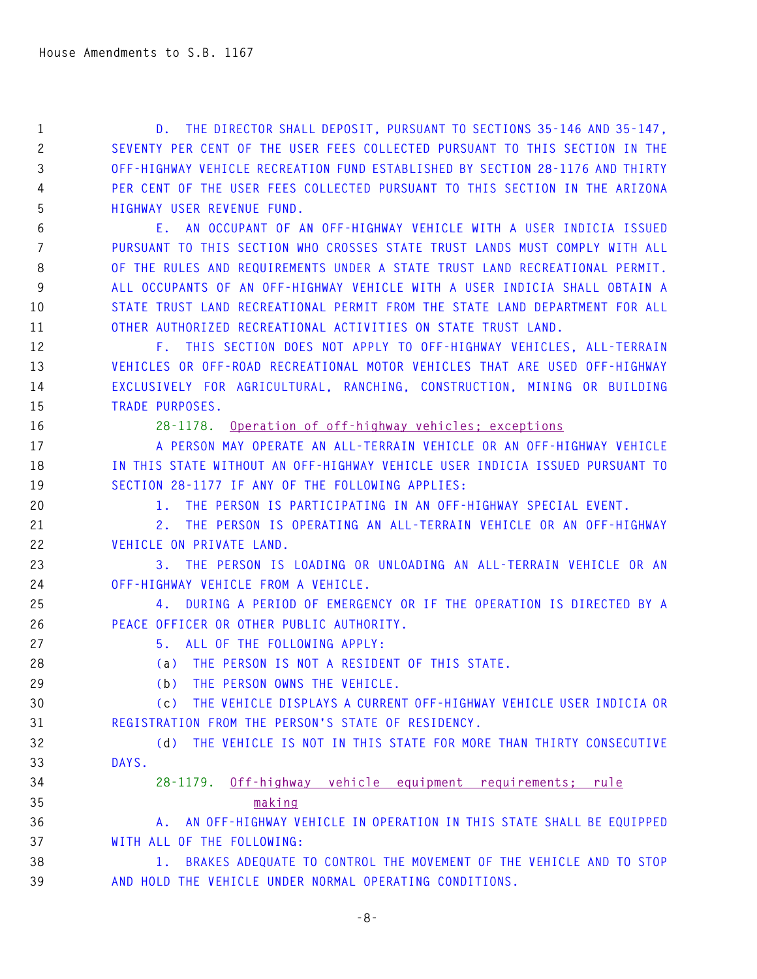**1 D. THE DIRECTOR SHALL DEPOSIT, PURSUANT TO SECTIONS 35-146 AND 35-147, 2 SEVENTY PER CENT OF THE USER FEES COLLECTED PURSUANT TO THIS SECTION IN THE 3 OFF-HIGHWAY VEHICLE RECREATION FUND ESTABLISHED BY SECTION 28-1176 AND THIRTY 4 PER CENT OF THE USER FEES COLLECTED PURSUANT TO THIS SECTION IN THE ARIZONA 5 HIGHWAY USER REVENUE FUND.** 

**6 E. AN OCCUPANT OF AN OFF-HIGHWAY VEHICLE WITH A USER INDICIA ISSUED 7 PURSUANT TO THIS SECTION WHO CROSSES STATE TRUST LANDS MUST COMPLY WITH ALL 8 OF THE RULES AND REQUIREMENTS UNDER A STATE TRUST LAND RECREATIONAL PERMIT. 9 ALL OCCUPANTS OF AN OFF-HIGHWAY VEHICLE WITH A USER INDICIA SHALL OBTAIN A 10 STATE TRUST LAND RECREATIONAL PERMIT FROM THE STATE LAND DEPARTMENT FOR ALL 11 OTHER AUTHORIZED RECREATIONAL ACTIVITIES ON STATE TRUST LAND.** 

**12 F. THIS SECTION DOES NOT APPLY TO OFF-HIGHWAY VEHICLES, ALL-TERRAIN 13 VEHICLES OR OFF-ROAD RECREATIONAL MOTOR VEHICLES THAT ARE USED OFF-HIGHWAY 14 EXCLUSIVELY FOR AGRICULTURAL, RANCHING, CONSTRUCTION, MINING OR BUILDING 15 TRADE PURPOSES.** 

**16 28-1178. Operation of off-highway vehicles; exceptions**

**17 A PERSON MAY OPERATE AN ALL-TERRAIN VEHICLE OR AN OFF-HIGHWAY VEHICLE 18 IN THIS STATE WITHOUT AN OFF-HIGHWAY VEHICLE USER INDICIA ISSUED PURSUANT TO 19 SECTION 28-1177 IF ANY OF THE FOLLOWING APPLIES:** 

**20 1. THE PERSON IS PARTICIPATING IN AN OFF-HIGHWAY SPECIAL EVENT.** 

**21 2. THE PERSON IS OPERATING AN ALL-TERRAIN VEHICLE OR AN OFF-HIGHWAY 22 VEHICLE ON PRIVATE LAND.** 

**23 3. THE PERSON IS LOADING OR UNLOADING AN ALL-TERRAIN VEHICLE OR AN 24 OFF-HIGHWAY VEHICLE FROM A VEHICLE.** 

**25 4. DURING A PERIOD OF EMERGENCY OR IF THE OPERATION IS DIRECTED BY A 26 PEACE OFFICER OR OTHER PUBLIC AUTHORITY.** 

**27 5. ALL OF THE FOLLOWING APPLY:** 

**28 (a) THE PERSON IS NOT A RESIDENT OF THIS STATE.** 

**29 (b) THE PERSON OWNS THE VEHICLE.** 

**30 (c) THE VEHICLE DISPLAYS A CURRENT OFF-HIGHWAY VEHICLE USER INDICIA OR 31 REGISTRATION FROM THE PERSON'S STATE OF RESIDENCY.** 

**32 (d) THE VEHICLE IS NOT IN THIS STATE FOR MORE THAN THIRTY CONSECUTIVE 33 DAYS.** 

## **34 28-1179. Off-highway vehicle equipment requirements; rule 35 making**

**36 A. AN OFF-HIGHWAY VEHICLE IN OPERATION IN THIS STATE SHALL BE EQUIPPED 37 WITH ALL OF THE FOLLOWING:** 

**38 1. BRAKES ADEQUATE TO CONTROL THE MOVEMENT OF THE VEHICLE AND TO STOP 39 AND HOLD THE VEHICLE UNDER NORMAL OPERATING CONDITIONS.**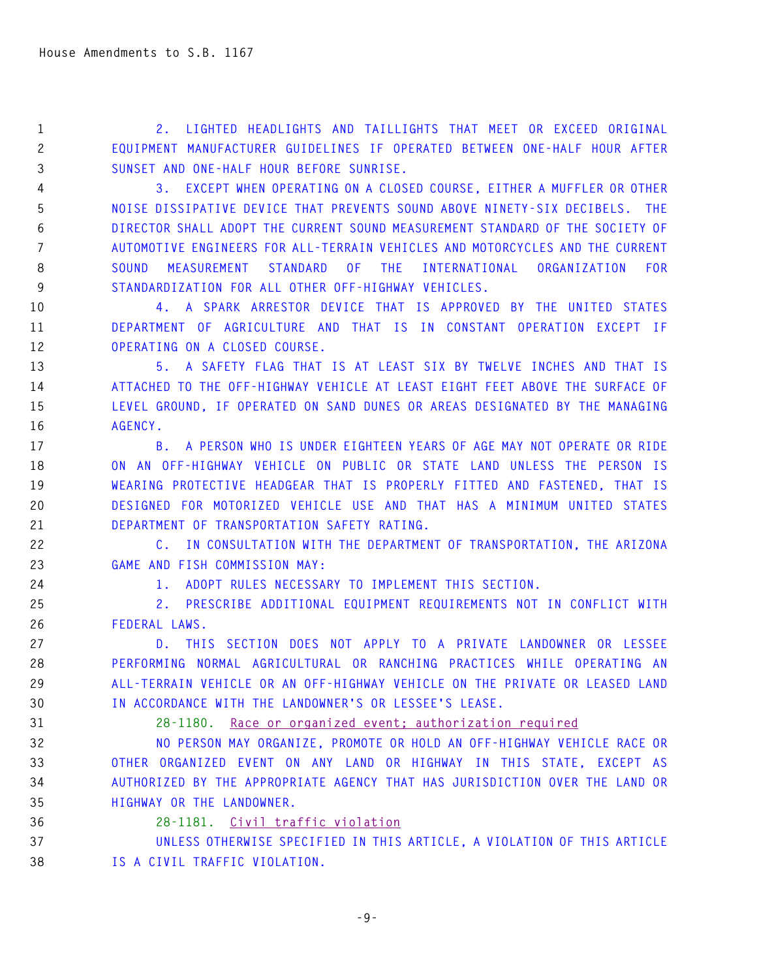**1 2. LIGHTED HEADLIGHTS AND TAILLIGHTS THAT MEET OR EXCEED ORIGINAL 2 EQUIPMENT MANUFACTURER GUIDELINES IF OPERATED BETWEEN ONE-HALF HOUR AFTER 3 SUNSET AND ONE-HALF HOUR BEFORE SUNRISE.** 

**4 3. EXCEPT WHEN OPERATING ON A CLOSED COURSE, EITHER A MUFFLER OR OTHER 5 NOISE DISSIPATIVE DEVICE THAT PREVENTS SOUND ABOVE NINETY-SIX DECIBELS. THE 6 DIRECTOR SHALL ADOPT THE CURRENT SOUND MEASUREMENT STANDARD OF THE SOCIETY OF 7 AUTOMOTIVE ENGINEERS FOR ALL-TERRAIN VEHICLES AND MOTORCYCLES AND THE CURRENT 8 SOUND MEASUREMENT STANDARD OF THE INTERNATIONAL ORGANIZATION FOR 9 STANDARDIZATION FOR ALL OTHER OFF-HIGHWAY VEHICLES.** 

**10 4. A SPARK ARRESTOR DEVICE THAT IS APPROVED BY THE UNITED STATES 11 DEPARTMENT OF AGRICULTURE AND THAT IS IN CONSTANT OPERATION EXCEPT IF 12 OPERATING ON A CLOSED COURSE.** 

**13 5. A SAFETY FLAG THAT IS AT LEAST SIX BY TWELVE INCHES AND THAT IS 14 ATTACHED TO THE OFF-HIGHWAY VEHICLE AT LEAST EIGHT FEET ABOVE THE SURFACE OF 15 LEVEL GROUND, IF OPERATED ON SAND DUNES OR AREAS DESIGNATED BY THE MANAGING 16 AGENCY.** 

**17 B. A PERSON WHO IS UNDER EIGHTEEN YEARS OF AGE MAY NOT OPERATE OR RIDE 18 ON AN OFF-HIGHWAY VEHICLE ON PUBLIC OR STATE LAND UNLESS THE PERSON IS 19 WEARING PROTECTIVE HEADGEAR THAT IS PROPERLY FITTED AND FASTENED, THAT IS 20 DESIGNED FOR MOTORIZED VEHICLE USE AND THAT HAS A MINIMUM UNITED STATES 21 DEPARTMENT OF TRANSPORTATION SAFETY RATING.** 

**22 C. IN CONSULTATION WITH THE DEPARTMENT OF TRANSPORTATION, THE ARIZONA 23 GAME AND FISH COMMISSION MAY:** 

**24 1. ADOPT RULES NECESSARY TO IMPLEMENT THIS SECTION.** 

**25 2. PRESCRIBE ADDITIONAL EQUIPMENT REQUIREMENTS NOT IN CONFLICT WITH 26 FEDERAL LAWS.** 

**27 D. THIS SECTION DOES NOT APPLY TO A PRIVATE LANDOWNER OR LESSEE 28 PERFORMING NORMAL AGRICULTURAL OR RANCHING PRACTICES WHILE OPERATING AN 29 ALL-TERRAIN VEHICLE OR AN OFF-HIGHWAY VEHICLE ON THE PRIVATE OR LEASED LAND 30 IN ACCORDANCE WITH THE LANDOWNER'S OR LESSEE'S LEASE.** 

## **31 28-1180. Race or organized event; authorization required**

**32 NO PERSON MAY ORGANIZE, PROMOTE OR HOLD AN OFF-HIGHWAY VEHICLE RACE OR 33 OTHER ORGANIZED EVENT ON ANY LAND OR HIGHWAY IN THIS STATE, EXCEPT AS 34 AUTHORIZED BY THE APPROPRIATE AGENCY THAT HAS JURISDICTION OVER THE LAND OR 35 HIGHWAY OR THE LANDOWNER.** 

**36 28-1181. Civil traffic violation**

**37 UNLESS OTHERWISE SPECIFIED IN THIS ARTICLE, A VIOLATION OF THIS ARTICLE 38 IS A CIVIL TRAFFIC VIOLATION.**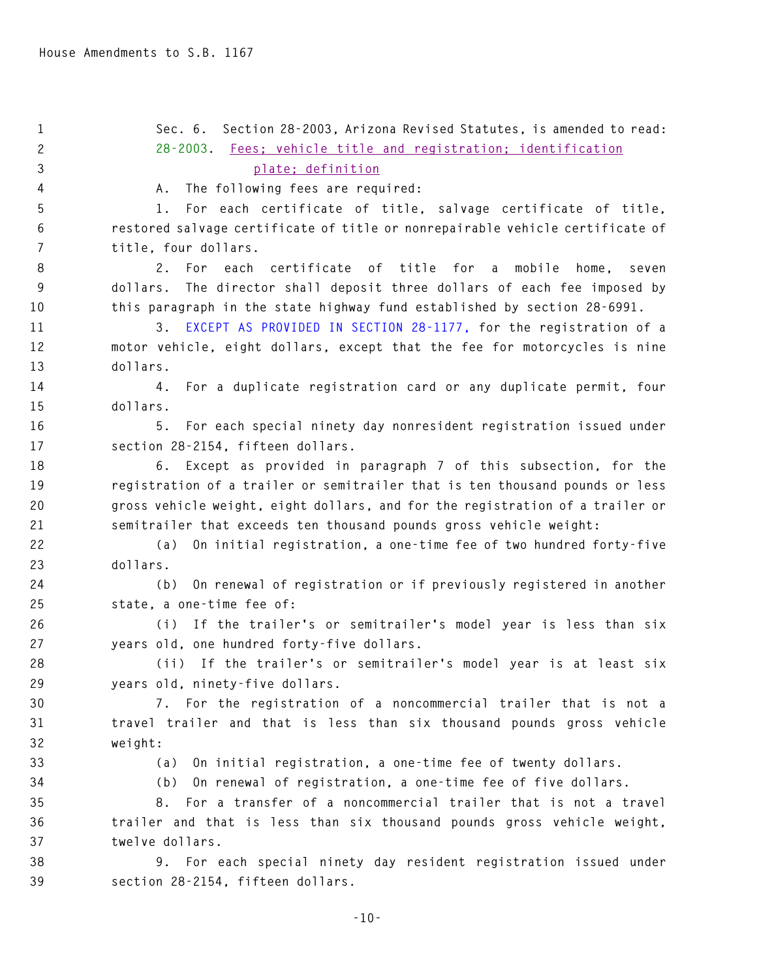**1 Sec. 6. Section 28-2003, Arizona Revised Statutes, is amended to read: 2 28-2003. Fees; vehicle title and registration; identification 3 plate; definition 4 A. The following fees are required: 5 1. For each certificate of title, salvage certificate of title, 6 restored salvage certificate of title or nonrepairable vehicle certificate of 7 title, four dollars. 8 2. For each certificate of title for a mobile home, seven 9 dollars. The director shall deposit three dollars of each fee imposed by 10 this paragraph in the state highway fund established by section 28-6991. 11 3. EXCEPT AS PROVIDED IN SECTION 28-1177, for the registration of a 12 motor vehicle, eight dollars, except that the fee for motorcycles is nine 13 dollars. 14 4. For a duplicate registration card or any duplicate permit, four 15 dollars. 16 5. For each special ninety day nonresident registration issued under 17 section 28-2154, fifteen dollars. 18 6. Except as provided in paragraph 7 of this subsection, for the 19 registration of a trailer or semitrailer that is ten thousand pounds or less 20 gross vehicle weight, eight dollars, and for the registration of a trailer or 21 semitrailer that exceeds ten thousand pounds gross vehicle weight: 22 (a) On initial registration, a one-time fee of two hundred forty-five 23 dollars. 24 (b) On renewal of registration or if previously registered in another 25 state, a one-time fee of: 26 (i) If the trailer's or semitrailer's model year is less than six 27 years old, one hundred forty-five dollars. 28 (ii) If the trailer's or semitrailer's model year is at least six 29 years old, ninety-five dollars. 30 7. For the registration of a noncommercial trailer that is not a 31 travel trailer and that is less than six thousand pounds gross vehicle 32 weight: 33 (a) On initial registration, a one-time fee of twenty dollars. 34 (b) On renewal of registration, a one-time fee of five dollars. 35 8. For a transfer of a noncommercial trailer that is not a travel 36 trailer and that is less than six thousand pounds gross vehicle weight, 37 twelve dollars. 38 9. For each special ninety day resident registration issued under 39 section 28-2154, fifteen dollars.**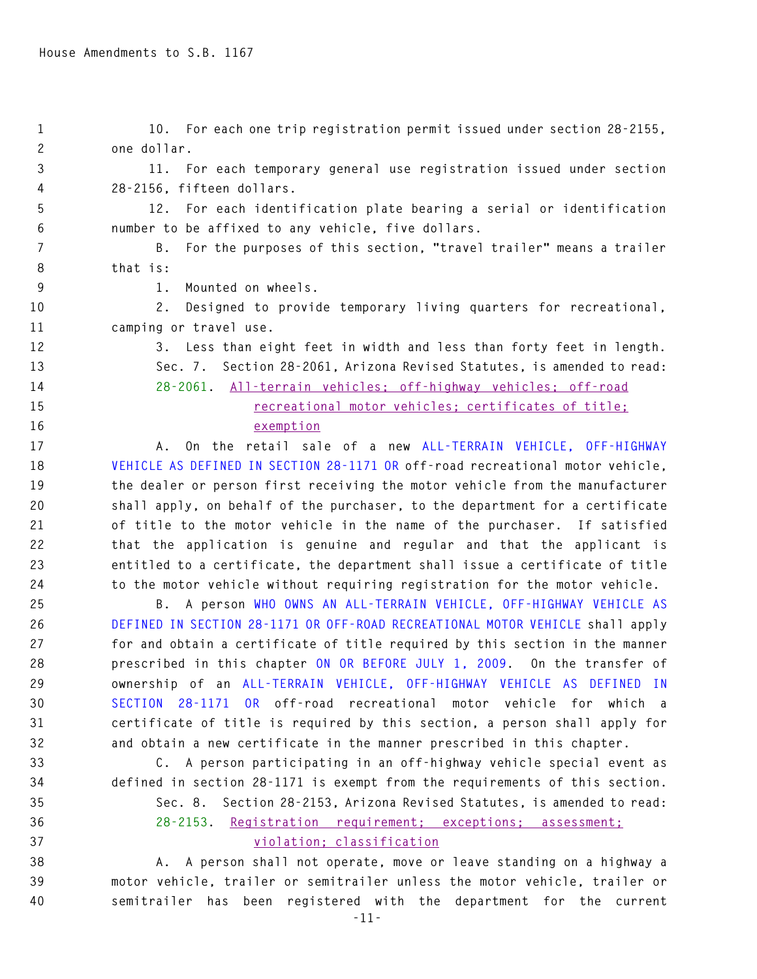| $\mathbf{1}$   | 10. For each one trip registration permit issued under section 28-2155,       |
|----------------|-------------------------------------------------------------------------------|
| $\overline{c}$ | one dollar.                                                                   |
| 3              | 11. For each temporary general use registration issued under section          |
| 4              | 28-2156, fifteen dollars.                                                     |
| 5              | For each identification plate bearing a serial or identification<br>12.       |
| 6              | number to be affixed to any vehicle, five dollars.                            |
| 7              | For the purposes of this section, "travel trailer" means a trailer<br>В.      |
| 8              | that is:                                                                      |
| 9              | Mounted on wheels.<br>1.                                                      |
| 10             | Designed to provide temporary living quarters for recreational,<br>2.         |
| 11             | camping or travel use.                                                        |
| 12             | 3. Less than eight feet in width and less than forty feet in length.          |
| 13             | Sec. 7. Section 28-2061, Arizona Revised Statutes, is amended to read:        |
| 14             | 28-2061. All-terrain vehicles: off-highway vehicles: off-road                 |
| 15             | recreational motor vehicles; certificates of title;                           |
| 16             | exemption                                                                     |
| 17             | On the retail sale of a new ALL-TERRAIN VEHICLE, OFF-HIGHWAY<br>А.            |
| 18             | VEHICLE AS DEFINED IN SECTION 28-1171 OR off-road recreational motor vehicle, |
| 19             | the dealer or person first receiving the motor vehicle from the manufacturer  |
| 20             | shall apply, on behalf of the purchaser, to the department for a certificate  |
| 21             | of title to the motor vehicle in the name of the purchaser. If satisfied      |
| 22             | that the application is genuine and regular and that the applicant is         |
| 23             | entitled to a certificate, the department shall issue a certificate of title  |
| 24             | to the motor vehicle without requiring registration for the motor vehicle.    |
| 25             | B. A person WHO OWNS AN ALL-TERRAIN VEHICLE, OFF-HIGHWAY VEHICLE AS           |
| 26             | DEFINED IN SECTION 28-1171 OR OFF-ROAD RECREATIONAL MOTOR VEHICLE shall apply |
| 27             | for and obtain a certificate of title required by this section in the manner  |
| 28             | prescribed in this chapter ON OR BEFORE JULY 1, 2009. On the transfer of      |
| 29             | ownership of an ALL-TERRAIN VEHICLE, OFF-HIGHWAY VEHICLE AS DEFINED IN        |
| 30             | SECTION 28-1171 OR off-road recreational motor vehicle for which a            |
| 31             | certificate of title is required by this section, a person shall apply for    |
| 32             | and obtain a new certificate in the manner prescribed in this chapter.        |
| 33             | C. A person participating in an off-highway vehicle special event as          |
| 34             | defined in section 28-1171 is exempt from the requirements of this section.   |
| 35             | Section 28-2153, Arizona Revised Statutes, is amended to read:<br>Sec. 8.     |
| 36             | 28-2153. Registration requirement; exceptions; assessment:                    |
| 37             | violation; classification                                                     |
| 38             | A person shall not operate, move or leave standing on a highway a<br>A.       |
| 39             | motor vehicle, trailer or semitrailer unless the motor vehicle, trailer or    |

**40 semitrailer has been registered with the department for the current**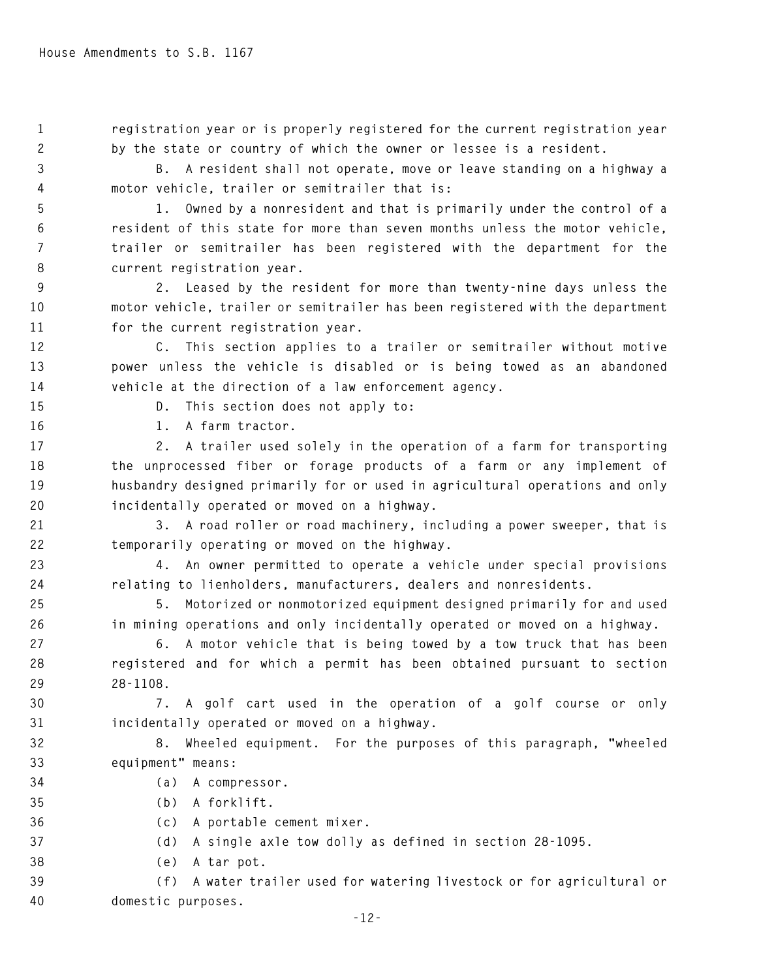**1 registration year or is properly registered for the current registration year 2 by the state or country of which the owner or lessee is a resident.** 

**3 B. A resident shall not operate, move or leave standing on a highway a 4 motor vehicle, trailer or semitrailer that is:** 

**5 1. Owned by a nonresident and that is primarily under the control of a 6 resident of this state for more than seven months unless the motor vehicle, 7 trailer or semitrailer has been registered with the department for the 8 current registration year.** 

**9 2. Leased by the resident for more than twenty-nine days unless the 10 motor vehicle, trailer or semitrailer has been registered with the department 11 for the current registration year.** 

**12 C. This section applies to a trailer or semitrailer without motive 13 power unless the vehicle is disabled or is being towed as an abandoned 14 vehicle at the direction of a law enforcement agency.** 

**15 D. This section does not apply to:** 

**16 1. A farm tractor.** 

**17 2. A trailer used solely in the operation of a farm for transporting 18 the unprocessed fiber or forage products of a farm or any implement of 19 husbandry designed primarily for or used in agricultural operations and only 20 incidentally operated or moved on a highway.** 

**21 3. A road roller or road machinery, including a power sweeper, that is 22 temporarily operating or moved on the highway.** 

**23 4. An owner permitted to operate a vehicle under special provisions 24 relating to lienholders, manufacturers, dealers and nonresidents.** 

**25 5. Motorized or nonmotorized equipment designed primarily for and used 26 in mining operations and only incidentally operated or moved on a highway.** 

**27 6. A motor vehicle that is being towed by a tow truck that has been 28 registered and for which a permit has been obtained pursuant to section 29 28-1108.** 

**30 7. A golf cart used in the operation of a golf course or only 31 incidentally operated or moved on a highway.** 

**32 8. Wheeled equipment. For the purposes of this paragraph, "wheeled 33 equipment" means:** 

- **34 (a) A compressor.**
- **35 (b) A forklift.**

**36 (c) A portable cement mixer.** 

- **37 (d) A single axle tow dolly as defined in section 28-1095.**
- **38 (e) A tar pot.**

**39 (f) A water trailer used for watering livestock or for agricultural or 40 domestic purposes.**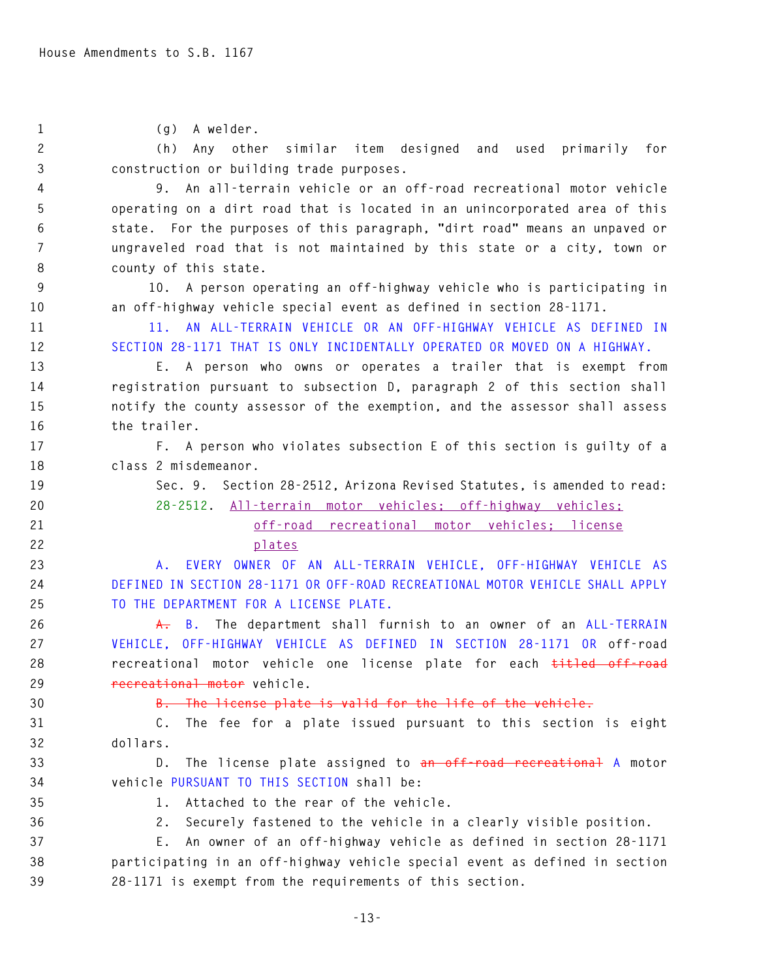**1 (g) A welder. 2 (h) Any other similar item designed and used primarily for 3 construction or building trade purposes. 4 9. An all-terrain vehicle or an off-road recreational motor vehicle 5 operating on a dirt road that is located in an unincorporated area of this 6 state. For the purposes of this paragraph, "dirt road" means an unpaved or 7 ungraveled road that is not maintained by this state or a city, town or 8 county of this state. 9 10. A person operating an off-highway vehicle who is participating in 10 an off-highway vehicle special event as defined in section 28-1171. 11 11. AN ALL-TERRAIN VEHICLE OR AN OFF-HIGHWAY VEHICLE AS DEFINED IN 12 SECTION 28-1171 THAT IS ONLY INCIDENTALLY OPERATED OR MOVED ON A HIGHWAY. 13 E. A person who owns or operates a trailer that is exempt from 14 registration pursuant to subsection D, paragraph 2 of this section shall 15 notify the county assessor of the exemption, and the assessor shall assess 16 the trailer. 17 F. A person who violates subsection E of this section is guilty of a 18 class 2 misdemeanor. 19 Sec. 9. Section 28-2512, Arizona Revised Statutes, is amended to read: 20 28-2512. All-terrain motor vehicles; off-highway vehicles; 21 off-road recreational motor vehicles; license 22 plates 23 A. EVERY OWNER OF AN ALL-TERRAIN VEHICLE, OFF-HIGHWAY VEHICLE AS 24 DEFINED IN SECTION 28-1171 OR OFF-ROAD RECREATIONAL MOTOR VEHICLE SHALL APPLY 25 TO THE DEPARTMENT FOR A LICENSE PLATE. 26 A. B. The department shall furnish to an owner of an ALL-TERRAIN 27 VEHICLE, OFF-HIGHWAY VEHICLE AS DEFINED IN SECTION 28-1171 OR off-road 28 recreational motor vehicle one license plate for each titled off-road 29 recreational motor vehicle. 30 B. The license plate is valid for the life of the vehicle. 31 C. The fee for a plate issued pursuant to this section is eight 32 dollars. 33 D. The license plate assigned to an off-road recreational A motor 34 vehicle PURSUANT TO THIS SECTION shall be: 35 1. Attached to the rear of the vehicle. 36 2. Securely fastened to the vehicle in a clearly visible position. 37 E. An owner of an off-highway vehicle as defined in section 28-1171 38 participating in an off-highway vehicle special event as defined in section 39 28-1171 is exempt from the requirements of this section.**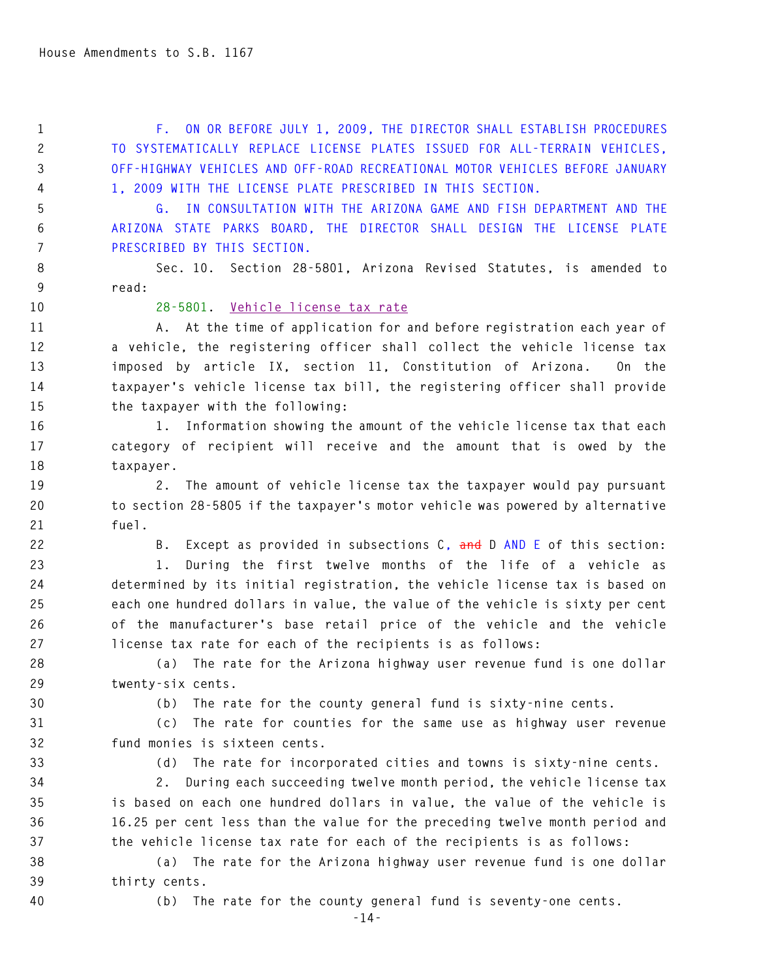**1 F. ON OR BEFORE JULY 1, 2009, THE DIRECTOR SHALL ESTABLISH PROCEDURES 2 TO SYSTEMATICALLY REPLACE LICENSE PLATES ISSUED FOR ALL-TERRAIN VEHICLES, 3 OFF-HIGHWAY VEHICLES AND OFF-ROAD RECREATIONAL MOTOR VEHICLES BEFORE JANUARY 4 1, 2009 WITH THE LICENSE PLATE PRESCRIBED IN THIS SECTION.** 

**5 G. IN CONSULTATION WITH THE ARIZONA GAME AND FISH DEPARTMENT AND THE 6 ARIZONA STATE PARKS BOARD, THE DIRECTOR SHALL DESIGN THE LICENSE PLATE 7 PRESCRIBED BY THIS SECTION.** 

**8 Sec. 10. Section 28-5801, Arizona Revised Statutes, is amended to 9 read:** 

## **10 28-5801. Vehicle license tax rate**

**11 A. At the time of application for and before registration each year of 12 a vehicle, the registering officer shall collect the vehicle license tax 13 imposed by article IX, section 11, Constitution of Arizona. On the 14 taxpayer's vehicle license tax bill, the registering officer shall provide 15 the taxpayer with the following:** 

**16 1. Information showing the amount of the vehicle license tax that each 17 category of recipient will receive and the amount that is owed by the 18 taxpayer.** 

**19 2. The amount of vehicle license tax the taxpayer would pay pursuant 20 to section 28-5805 if the taxpayer's motor vehicle was powered by alternative 21 fuel.** 

**22 B. Except as provided in subsections C, and D AND E of this section:** 

**23 1. During the first twelve months of the life of a vehicle as 24 determined by its initial registration, the vehicle license tax is based on 25 each one hundred dollars in value, the value of the vehicle is sixty per cent 26 of the manufacturer's base retail price of the vehicle and the vehicle 27 license tax rate for each of the recipients is as follows:** 

**28 (a) The rate for the Arizona highway user revenue fund is one dollar 29 twenty-six cents.** 

**30 (b) The rate for the county general fund is sixty-nine cents.** 

**31 (c) The rate for counties for the same use as highway user revenue 32 fund monies is sixteen cents.** 

**33 (d) The rate for incorporated cities and towns is sixty-nine cents.** 

**34 2. During each succeeding twelve month period, the vehicle license tax 35 is based on each one hundred dollars in value, the value of the vehicle is 36 16.25 per cent less than the value for the preceding twelve month period and 37 the vehicle license tax rate for each of the recipients is as follows:** 

**38 (a) The rate for the Arizona highway user revenue fund is one dollar 39 thirty cents.** 

**40 (b) The rate for the county general fund is seventy-one cents.**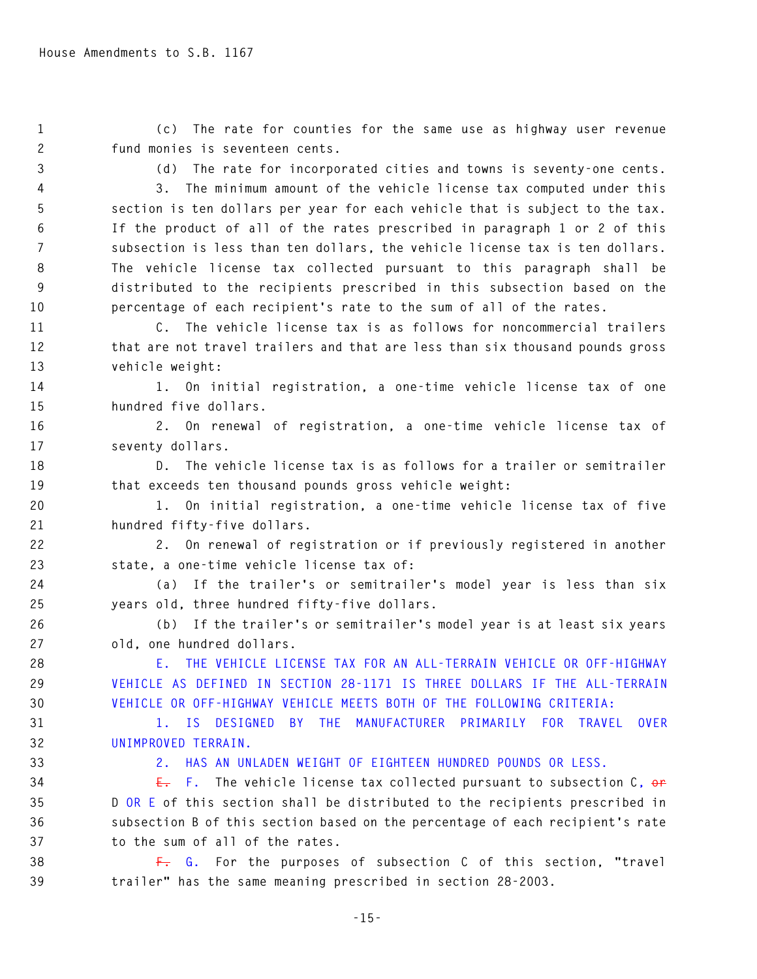**1 (c) The rate for counties for the same use as highway user revenue 2 fund monies is seventeen cents.** 

**3 (d) The rate for incorporated cities and towns is seventy-one cents.** 

**4 3. The minimum amount of the vehicle license tax computed under this 5 section is ten dollars per year for each vehicle that is subject to the tax. 6 If the product of all of the rates prescribed in paragraph 1 or 2 of this 7 subsection is less than ten dollars, the vehicle license tax is ten dollars. 8 The vehicle license tax collected pursuant to this paragraph shall be 9 distributed to the recipients prescribed in this subsection based on the 10 percentage of each recipient's rate to the sum of all of the rates.** 

**11 C. The vehicle license tax is as follows for noncommercial trailers 12 that are not travel trailers and that are less than six thousand pounds gross 13 vehicle weight:** 

**14 1. On initial registration, a one-time vehicle license tax of one 15 hundred five dollars.** 

**16 2. On renewal of registration, a one-time vehicle license tax of 17 seventy dollars.** 

**18 D. The vehicle license tax is as follows for a trailer or semitrailer 19 that exceeds ten thousand pounds gross vehicle weight:** 

**20 1. On initial registration, a one-time vehicle license tax of five 21 hundred fifty-five dollars.** 

**22 2. On renewal of registration or if previously registered in another 23 state, a one-time vehicle license tax of:** 

**24 (a) If the trailer's or semitrailer's model year is less than six 25 years old, three hundred fifty-five dollars.** 

**26 (b) If the trailer's or semitrailer's model year is at least six years 27 old, one hundred dollars.** 

**28 E. THE VEHICLE LICENSE TAX FOR AN ALL-TERRAIN VEHICLE OR OFF-HIGHWAY 29 VEHICLE AS DEFINED IN SECTION 28-1171 IS THREE DOLLARS IF THE ALL-TERRAIN 30 VEHICLE OR OFF-HIGHWAY VEHICLE MEETS BOTH OF THE FOLLOWING CRITERIA:** 

**31 1. IS DESIGNED BY THE MANUFACTURER PRIMARILY FOR TRAVEL OVER 32 UNIMPROVED TERRAIN.** 

**33 2. HAS AN UNLADEN WEIGHT OF EIGHTEEN HUNDRED POUNDS OR LESS.** 

**34 E. F. The vehicle license tax collected pursuant to subsection C, or 35 D OR E of this section shall be distributed to the recipients prescribed in 36 subsection B of this section based on the percentage of each recipient's rate 37 to the sum of all of the rates.** 

**38 F. G. For the purposes of subsection C of this section, "travel 39 trailer" has the same meaning prescribed in section 28-2003.**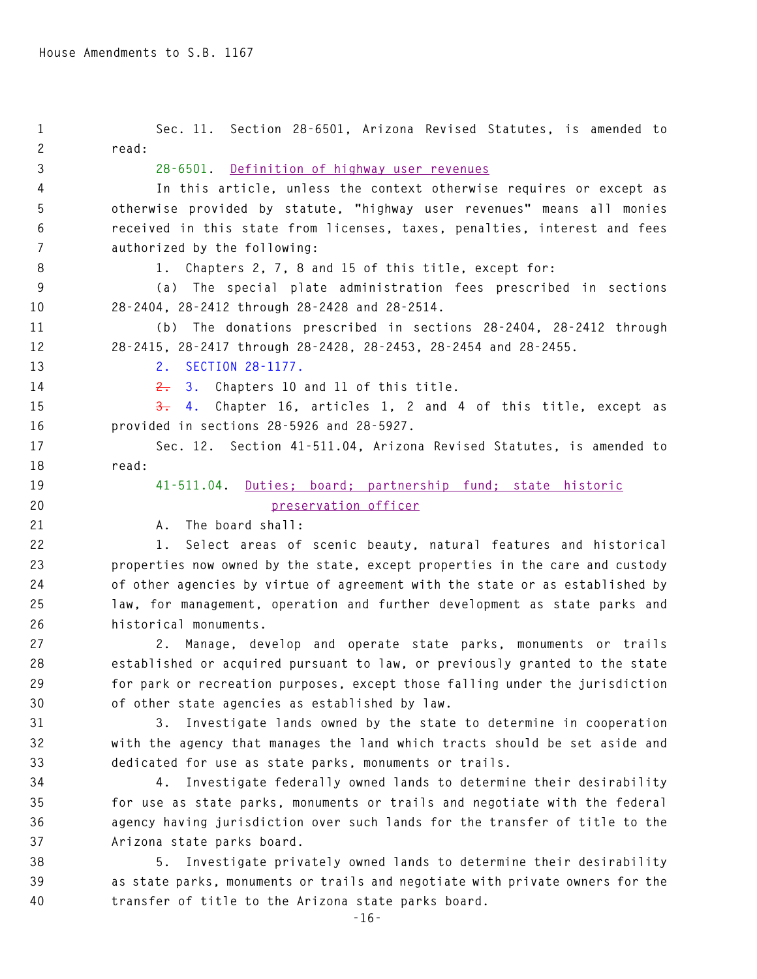| $\mathbf{1}$ | Sec. 11. Section 28-6501, Arizona Revised Statutes, is amended to             |
|--------------|-------------------------------------------------------------------------------|
| $\mathbf{2}$ | read:                                                                         |
| 3            | 28-6501. Definition of highway user revenues                                  |
| 4            | In this article, unless the context otherwise requires or except as           |
| 5            | otherwise provided by statute, "highway user revenues" means all monies       |
| 6            | received in this state from licenses, taxes, penalties, interest and fees     |
| 7            | authorized by the following:                                                  |
| 8            | 1. Chapters 2, 7, 8 and 15 of this title, except for:                         |
| 9            | (a) The special plate administration fees prescribed in sections              |
| 10           | 28-2404, 28-2412 through 28-2428 and 28-2514.                                 |
| 11           | (b) The donations prescribed in sections 28-2404, 28-2412 through             |
| 12           | 28-2415, 28-2417 through 28-2428, 28-2453, 28-2454 and 28-2455.               |
| 13           | SECTION 28-1177.<br>2.                                                        |
| 14           | $\frac{2}{\epsilon}$<br>3. Chapters 10 and 11 of this title.                  |
| 15           | 4. Chapter 16, articles 1, 2 and 4 of this title, except as<br><del>3.</del>  |
| 16           | provided in sections 28-5926 and 28-5927.                                     |
| 17           | Sec. 12. Section 41-511.04, Arizona Revised Statutes, is amended to           |
| 18           | read:                                                                         |
| 19           | 41-511.04. Duties; board; partnership fund; state historic                    |
| 20           | preservation officer                                                          |
| 21           | The board shall:<br>А.                                                        |
| 22           | Select areas of scenic beauty, natural features and historical<br>1.          |
| 23           | properties now owned by the state, except properties in the care and custody  |
| 24           | of other agencies by virtue of agreement with the state or as established by  |
| 25           | law, for management, operation and further development as state parks and     |
| 26           | historical monuments.                                                         |
| 27           | 2. Manage, develop and operate state parks, monuments or trails               |
| 28           | established or acquired pursuant to law, or previously granted to the state   |
| 29           | for park or recreation purposes, except those falling under the jurisdiction  |
| 30           | of other state agencies as established by law.                                |
| 31           | Investigate lands owned by the state to determine in cooperation<br>3.        |
| 32           | with the agency that manages the land which tracts should be set aside and    |
| 33           | dedicated for use as state parks, monuments or trails.                        |
| 34           | Investigate federally owned lands to determine their desirability<br>4.       |
| 35           | for use as state parks, monuments or trails and negotiate with the federal    |
| 36           | agency having jurisdiction over such lands for the transfer of title to the   |
| 37           | Arizona state parks board.                                                    |
| 38           | Investigate privately owned lands to determine their desirability<br>5.       |
| 39           | as state parks, monuments or trails and negotiate with private owners for the |
| 40           | transfer of title to the Arizona state parks board.                           |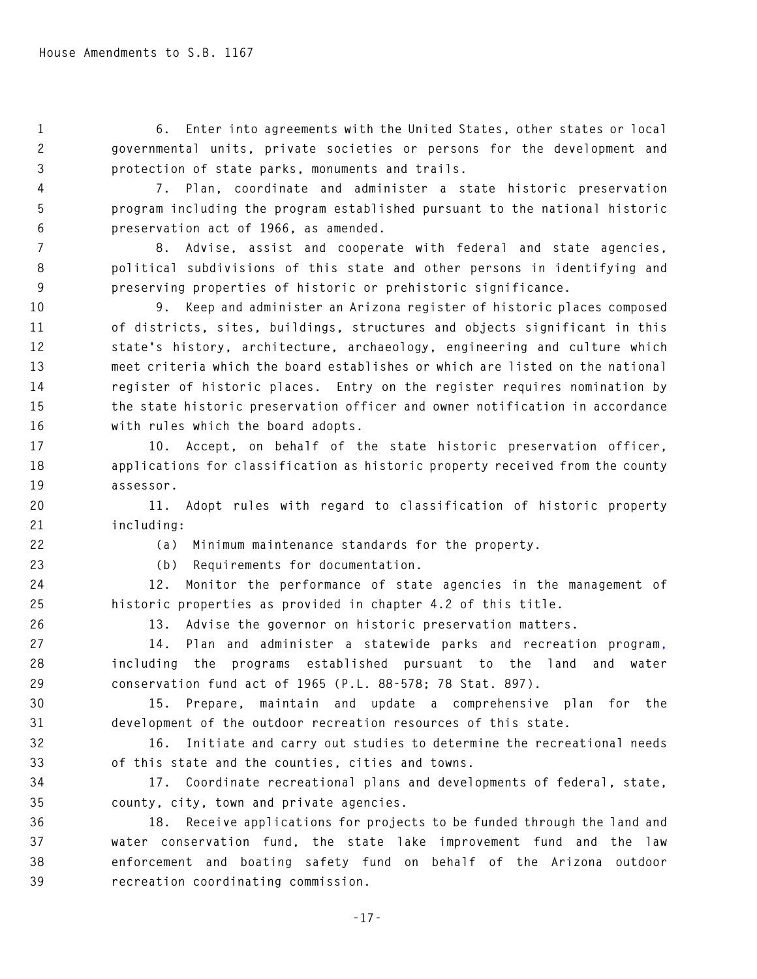**1 6. Enter into agreements with the United States, other states or local 2 governmental units, private societies or persons for the development and** 

**3 protection of state parks, monuments and trails.** 

**4 7. Plan, coordinate and administer a state historic preservation 5 program including the program established pursuant to the national historic 6 preservation act of 1966, as amended.** 

**7 8. Advise, assist and cooperate with federal and state agencies, 8 political subdivisions of this state and other persons in identifying and 9 preserving properties of historic or prehistoric significance.** 

**10 9. Keep and administer an Arizona register of historic places composed 11 of districts, sites, buildings, structures and objects significant in this 12 state's history, architecture, archaeology, engineering and culture which 13 meet criteria which the board establishes or which are listed on the national 14 register of historic places. Entry on the register requires nomination by 15 the state historic preservation officer and owner notification in accordance 16 with rules which the board adopts.** 

**17 10. Accept, on behalf of the state historic preservation officer, 18 applications for classification as historic property received from the county 19 assessor.** 

**20 11. Adopt rules with regard to classification of historic property 21 including:** 

**22 (a) Minimum maintenance standards for the property.** 

**23 (b) Requirements for documentation.** 

**24 12. Monitor the performance of state agencies in the management of 25 historic properties as provided in chapter 4.2 of this title.** 

**26 13. Advise the governor on historic preservation matters.** 

**27 14. Plan and administer a statewide parks and recreation program, 28 including the programs established pursuant to the land and water 29 conservation fund act of 1965 (P.L. 88-578; 78 Stat. 897).** 

**30 15. Prepare, maintain and update a comprehensive plan for the 31 development of the outdoor recreation resources of this state.** 

**32 16. Initiate and carry out studies to determine the recreational needs 33 of this state and the counties, cities and towns.** 

**34 17. Coordinate recreational plans and developments of federal, state, 35 county, city, town and private agencies.** 

**36 18. Receive applications for projects to be funded through the land and 37 water conservation fund, the state lake improvement fund and the law 38 enforcement and boating safety fund on behalf of the Arizona outdoor 39 recreation coordinating commission.**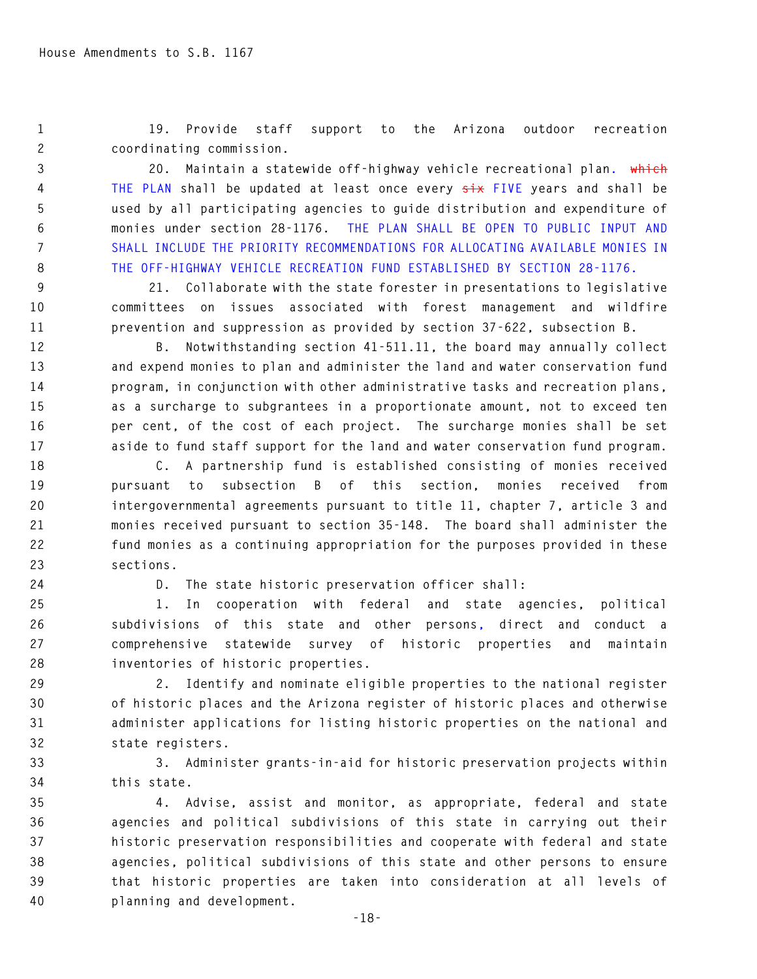**1 19. Provide staff support to the Arizona outdoor recreation 2 coordinating commission.** 

**3 20. Maintain a statewide off-highway vehicle recreational plan. which 4 THE PLAN shall be updated at least once every six FIVE years and shall be 5 used by all participating agencies to guide distribution and expenditure of 6 monies under section 28-1176. THE PLAN SHALL BE OPEN TO PUBLIC INPUT AND 7 SHALL INCLUDE THE PRIORITY RECOMMENDATIONS FOR ALLOCATING AVAILABLE MONIES IN 8 THE OFF-HIGHWAY VEHICLE RECREATION FUND ESTABLISHED BY SECTION 28-1176.** 

**9 21. Collaborate with the state forester in presentations to legislative 10 committees on issues associated with forest management and wildfire 11 prevention and suppression as provided by section 37-622, subsection B.** 

**12 B. Notwithstanding section 41-511.11, the board may annually collect 13 and expend monies to plan and administer the land and water conservation fund 14 program, in conjunction with other administrative tasks and recreation plans, 15 as a surcharge to subgrantees in a proportionate amount, not to exceed ten 16 per cent, of the cost of each project. The surcharge monies shall be set 17 aside to fund staff support for the land and water conservation fund program.** 

**18 C. A partnership fund is established consisting of monies received 19 pursuant to subsection B of this section, monies received from 20 intergovernmental agreements pursuant to title 11, chapter 7, article 3 and 21 monies received pursuant to section 35-148. The board shall administer the 22 fund monies as a continuing appropriation for the purposes provided in these 23 sections.** 

**24 D. The state historic preservation officer shall:** 

**25 1. In cooperation with federal and state agencies, political 26 subdivisions of this state and other persons, direct and conduct a 27 comprehensive statewide survey of historic properties and maintain 28 inventories of historic properties.** 

**29 2. Identify and nominate eligible properties to the national register 30 of historic places and the Arizona register of historic places and otherwise 31 administer applications for listing historic properties on the national and 32 state registers.** 

**33 3. Administer grants-in-aid for historic preservation projects within 34 this state.** 

**35 4. Advise, assist and monitor, as appropriate, federal and state 36 agencies and political subdivisions of this state in carrying out their 37 historic preservation responsibilities and cooperate with federal and state 38 agencies, political subdivisions of this state and other persons to ensure 39 that historic properties are taken into consideration at all levels of 40 planning and development.**